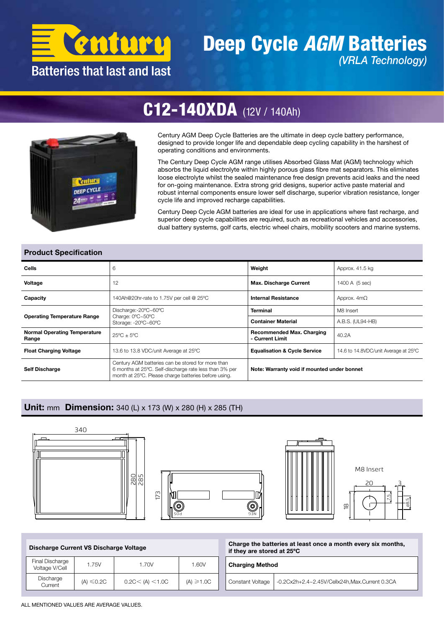

### Deep Cycle *AGM* Batteries *(VRLA Technology)*



## C12-140XDA (12V / 140Ah)

Century AGM Deep Cycle Batteries are the ultimate in deep cycle battery performance, designed to provide longer life and dependable deep cycling capability in the harshest of operating conditions and environments.

The Century Deep Cycle AGM range utilises Absorbed Glass Mat (AGM) technology which absorbs the liquid electrolyte within highly porous glass fibre mat separators. This eliminates loose electrolyte whilst the sealed maintenance free design prevents acid leaks and the need for on-going maintenance. Extra strong grid designs, superior active paste material and robust internal components ensure lower self discharge, superior vibration resistance, longer cycle life and improved recharge capabilities.

Century Deep Cycle AGM batteries are ideal for use in applications where fast recharge, and superior deep cycle capabilities are required, such as recreational vehicles and accessories, dual battery systems, golf carts, electric wheel chairs, mobility scooters and marine systems.

ø8.5

#### Product Specification

| Cells                                        | 6                                                                                                                                                                   | Weight                                              | Approx. 41.5 kg                      |  |  |  |
|----------------------------------------------|---------------------------------------------------------------------------------------------------------------------------------------------------------------------|-----------------------------------------------------|--------------------------------------|--|--|--|
| Voltage                                      | 12                                                                                                                                                                  | <b>Max. Discharge Current</b>                       | 1400 A (5 sec)                       |  |  |  |
| Capacity                                     | 140Ah@20hr-rate to 1.75V per cell @ 25°C                                                                                                                            | <b>Internal Resistance</b>                          |                                      |  |  |  |
| <b>Operating Temperature Range</b>           | Discharge:-20°C~60°C                                                                                                                                                | <b>Terminal</b>                                     | M8 Insert                            |  |  |  |
|                                              | Charge: 0°C~50°C<br>Storage: -20°C~60°C                                                                                                                             | <b>Container Material</b>                           | A.B.S. (UL94-HB)                     |  |  |  |
| <b>Normal Operating Temperature</b><br>Range | $25^{\circ}$ C + $5^{\circ}$ C                                                                                                                                      | <b>Recommended Max. Charging</b><br>- Current Limit | 40.2A                                |  |  |  |
| <b>Float Charging Voltage</b>                | 13.6 to 13.8 VDC/unit Average at 25°C                                                                                                                               | <b>Equalisation &amp; Cycle Service</b>             | 14.6 to 14.8VDC/unit Average at 25°C |  |  |  |
| <b>Self Discharge</b>                        | Century AGM batteries can be stored for more than<br>6 months at 25°C. Self-discharge rate less than 3% per<br>month at 25°C. Please charge batteries before using. | Note: Warranty void if mounted under bonnet         |                                      |  |  |  |

#### Unit: mm Dimension: 340 (L) x 173 (W) x 280 (H) x 285 (TH)



| Discharge Current VS Discharge Voltage |                 |                          |                | Charge the batteries at least once a month every six months,<br>if they are stored at 25°C |  |  |  |  |
|----------------------------------------|-----------------|--------------------------|----------------|--------------------------------------------------------------------------------------------|--|--|--|--|
| Final Discharge<br>Voltage V/Cell      | 1.75V           | .70V                     | 1.60V          | <b>Charging Method</b>                                                                     |  |  |  |  |
| Discharge<br>Current                   | $(A) \leq 0.2C$ | $0.2$ C $<$ (A) $<$ 1.0C | $(A) \ge 1.0C$ | -0.2Cx2h+2.4~2.45V/Cellx24h, Max.Current 0.3CA<br>Constant Voltage                         |  |  |  |  |

ALL MENTIONED VALUES ARE AVERAGE VALUES.